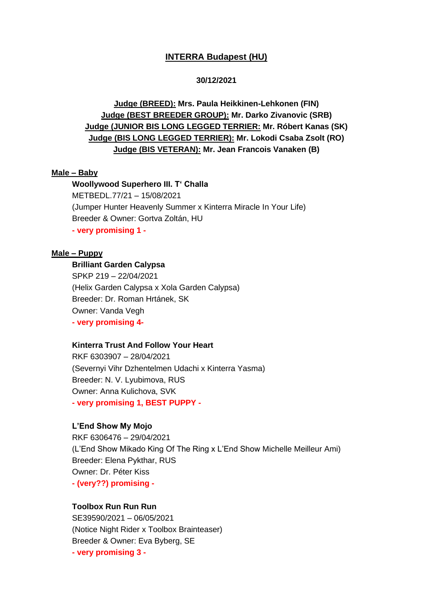## **INTERRA Budapest (HU)**

#### **30/12/2021**

# **Judge (BREED): Mrs. Paula Heikkinen-Lehkonen (FIN) Judge (BEST BREEDER GROUP): Mr. Darko Zivanovic (SRB) Judge (JUNIOR BIS LONG LEGGED TERRIER: Mr. Róbert Kanas (SK) Judge (BIS LONG LEGGED TERRIER): Mr. Lokodi Csaba Zsolt (RO) Judge (BIS VETERAN): Mr. Jean Francois Vanaken (B)**

## **Male – Baby**

**Woollywood Superhero III. T' Challa** METBEDL.77/21 – 15/08/2021

(Jumper Hunter Heavenly Summer x Kinterra Miracle In Your Life) Breeder & Owner: Gortva Zoltán, HU **- very promising 1 -**

## **Male – Puppy**

## **Brilliant Garden Calypsa**

SPKP 219 – 22/04/2021 (Helix Garden Calypsa x Xola Garden Calypsa) Breeder: Dr. Roman Hrtánek, SK Owner: Vanda Vegh **- very promising 4-**

#### **Kinterra Trust And Follow Your Heart**

RKF 6303907 – 28/04/2021 (Severnyi Vihr Dzhentelmen Udachi x Kinterra Yasma) Breeder: N. V. Lyubimova, RUS Owner: Anna Kulichova, SVK **- very promising 1, BEST PUPPY -**

## **L'End Show My Mojo**

RKF 6306476 – 29/04/2021 (L'End Show Mikado King Of The Ring x L'End Show Michelle Meilleur Ami) Breeder: Elena Pykthar, RUS Owner: Dr. Péter Kiss **- (very??) promising -**

#### **Toolbox Run Run Run**

SE39590/2021 – 06/05/2021 (Notice Night Rider x Toolbox Brainteaser) Breeder & Owner: Eva Byberg, SE **- very promising 3 -**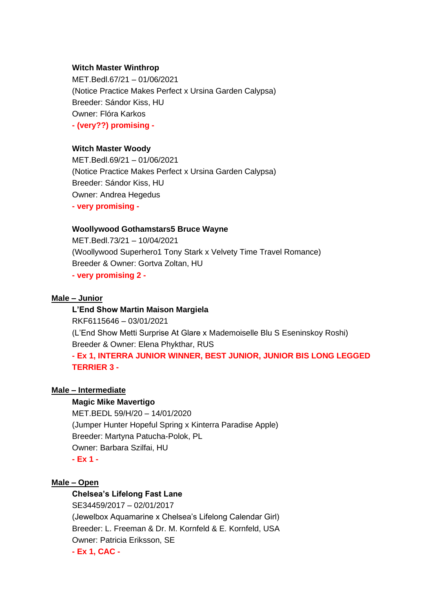#### **Witch Master Winthrop**

MET.Bedl.67/21 – 01/06/2021 (Notice Practice Makes Perfect x Ursina Garden Calypsa) Breeder: Sándor Kiss, HU Owner: Flóra Karkos **- (very??) promising -**

#### **Witch Master Woody**

MET.Bedl.69/21 – 01/06/2021 (Notice Practice Makes Perfect x Ursina Garden Calypsa) Breeder: Sándor Kiss, HU Owner: Andrea Hegedus **- very promising -**

#### **Woollywood Gothamstars5 Bruce Wayne**

MET.Bedl.73/21 – 10/04/2021 (Woollywood Superhero1 Tony Stark x Velvety Time Travel Romance) Breeder & Owner: Gortva Zoltan, HU **- very promising 2 -**

#### **Male – Junior**

**L'End Show Martin Maison Margiela** RKF6115646 – 03/01/2021 (L'End Show Metti Surprise At Glare x Mademoiselle Blu S Eseninskoy Roshi) Breeder & Owner: Elena Phykthar, RUS **- Ex 1, INTERRA JUNIOR WINNER, BEST JUNIOR, JUNIOR BIS LONG LEGGED TERRIER 3 -**

#### **Male – Intermediate**

#### **Magic Mike Mavertigo**

MET.BEDL 59/H/20 – 14/01/2020 (Jumper Hunter Hopeful Spring x Kinterra Paradise Apple) Breeder: Martyna Patucha-Polok, PL Owner: Barbara Szilfai, HU **- Ex 1 -**

## **Male – Open**

### **Chelsea's Lifelong Fast Lane**

SE34459/2017 – 02/01/2017 (Jewelbox Aquamarine x Chelsea's Lifelong Calendar Girl) Breeder: L. Freeman & Dr. M. Kornfeld & E. Kornfeld, USA Owner: Patricia Eriksson, SE **- Ex 1, CAC -**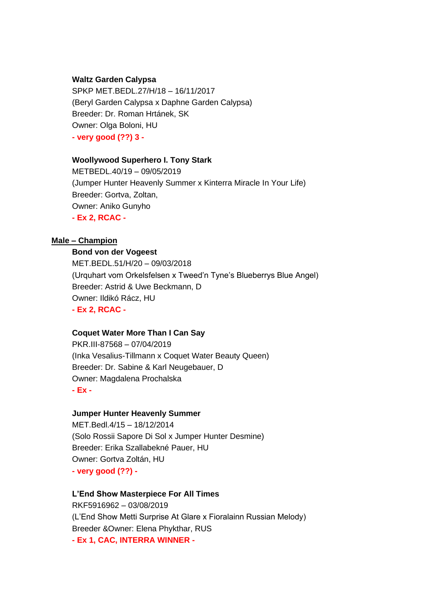#### **Waltz Garden Calypsa**

SPKP MET.BEDL.27/H/18 – 16/11/2017 (Beryl Garden Calypsa x Daphne Garden Calypsa) Breeder: Dr. Roman Hrtánek, SK Owner: Olga Boloni, HU **- very good (??) 3 -**

#### **Woollywood Superhero I. Tony Stark**

METBEDL.40/19 – 09/05/2019 (Jumper Hunter Heavenly Summer x Kinterra Miracle In Your Life) Breeder: Gortva, Zoltan, Owner: Aniko Gunyho **- Ex 2, RCAC -**

## **Male – Champion**

# **Bond von der Vogeest**

MET.BEDL.51/H/20 – 09/03/2018 (Urquhart vom Orkelsfelsen x Tweed'n Tyne's Blueberrys Blue Angel) Breeder: Astrid & Uwe Beckmann, D Owner: Ildikó Rácz, HU **- Ex 2, RCAC -**

## **Coquet Water More Than I Can Say**

PKR.III-87568 – 07/04/2019 (Inka Vesalius-Tillmann x Coquet Water Beauty Queen) Breeder: Dr. Sabine & Karl Neugebauer, D Owner: Magdalena Prochalska **- Ex -**

#### **Jumper Hunter Heavenly Summer**

MET.Bedl.4/15 – 18/12/2014 (Solo Rossii Sapore Di Sol x Jumper Hunter Desmine) Breeder: Erika Szallabekné Pauer, HU Owner: Gortva Zoltán, HU **- very good (??) -**

#### **L'End Show Masterpiece For All Times**

RKF5916962 – 03/08/2019 (L'End Show Metti Surprise At Glare x Fioralainn Russian Melody) Breeder &Owner: Elena Phykthar, RUS **- Ex 1, CAC, INTERRA WINNER -**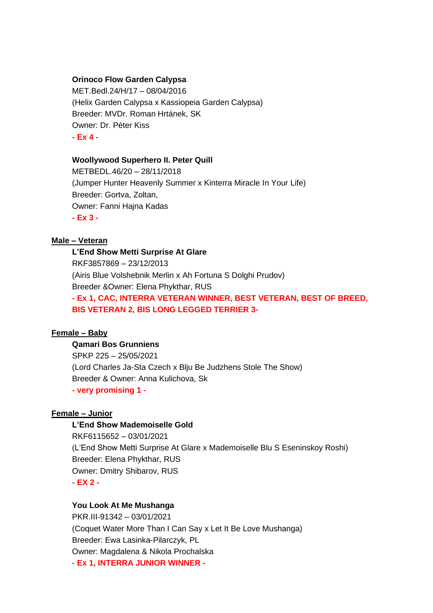#### **Orinoco Flow Garden Calypsa**

MET.Bedl.24/H/17 – 08/04/2016 (Helix Garden Calypsa x Kassiopeia Garden Calypsa) Breeder: MVDr. Roman Hrtánek, SK Owner: Dr. Péter Kiss **- Ex 4 -**

#### **Woollywood Superhero II. Peter Quill**

METBEDL.46/20 – 28/11/2018 (Jumper Hunter Heavenly Summer x Kinterra Miracle In Your Life) Breeder: Gortva, Zoltan, Owner: Fanni Hajna Kadas **- Ex 3 -**

## **Male – Veteran**

**L'End Show Metti Surprise At Glare** RKF3857869 – 23/12/2013 (Airis Blue Volshebnik Merlin x Ah Fortuna S Dolghi Prudov) Breeder &Owner: Elena Phykthar, RUS **- Ex 1, CAC, INTERRA VETERAN WINNER, BEST VETERAN, BEST OF BREED, BIS VETERAN 2, BIS LONG LEGGED TERRIER 3-**

## **Female – Baby**

# **Qamari Bos Grunniens**

SPKP 225 – 25/05/2021 (Lord Charles Ja-Sta Czech x Blju Be Judzhens Stole The Show) Breeder & Owner: Anna Kulichova, Sk **- very promising 1 -**

#### **Female – Junior**

#### **L'End Show Mademoiselle Gold**

RKF6115652 – 03/01/2021 (L'End Show Metti Surprise At Glare x Mademoiselle Blu S Eseninskoy Roshi) Breeder: Elena Phykthar, RUS Owner: Dmitry Shibarov, RUS **- EX 2 -**

#### **You Look At Me Mushanga**

PKR.III-91342 – 03/01/2021 (Coquet Water More Than I Can Say x Let It Be Love Mushanga) Breeder: Ewa Lasinka-Pilarczyk, PL Owner: Magdalena & Nikola Prochalska **- Ex 1, INTERRA JUNIOR WINNER -**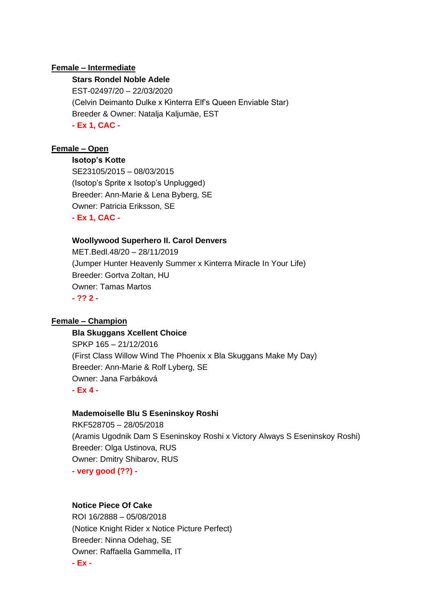#### **Female – Intermediate**

#### **Stars Rondel Noble Adele**

EST-02497/20 – 22/03/2020 (Celvin Deimanto Dulke x Kinterra Elf's Queen Enviable Star) Breeder & Owner: Natalja Kaljumäe, EST **- Ex 1, CAC -**

### **Female – Open**

**Isotop's Kotte**

SE23105/2015 – 08/03/2015 (Isotop's Sprite x Isotop's Unplugged) Breeder: Ann-Marie & Lena Byberg, SE Owner: Patricia Eriksson, SE **- Ex 1, CAC -**

#### **Woollywood Superhero II. Carol Denvers**

MET.Bedl.48/20 – 28/11/2019 (Jumper Hunter Heavenly Summer x Kinterra Miracle In Your Life) Breeder: Gortva Zoltan, HU Owner: Tamas Martos **- ?? 2 -**

#### **Female – Champion**

#### **Bla Skuggans Xcellent Choice**

SPKP 165 – 21/12/2016 (First Class Willow Wind The Phoenix x Bla Skuggans Make My Day) Breeder: Ann-Marie & Rolf Lyberg, SE Owner: Jana Farbáková **- Ex 4 -**

#### **Mademoiselle Blu S Eseninskoy Roshi**

RKF528705 – 28/05/2018 (Aramis Ugodnik Dam S Eseninskoy Roshi x Victory Always S Eseninskoy Roshi) Breeder: Olga Ustinova, RUS Owner: Dmitry Shibarov, RUS **- very good (??) -**

## **Notice Piece Of Cake**

ROI 16/2888 – 05/08/2018 (Notice Knight Rider x Notice Picture Perfect) Breeder: Ninna Odehag, SE Owner: Raffaella Gammella, IT **- Ex -**